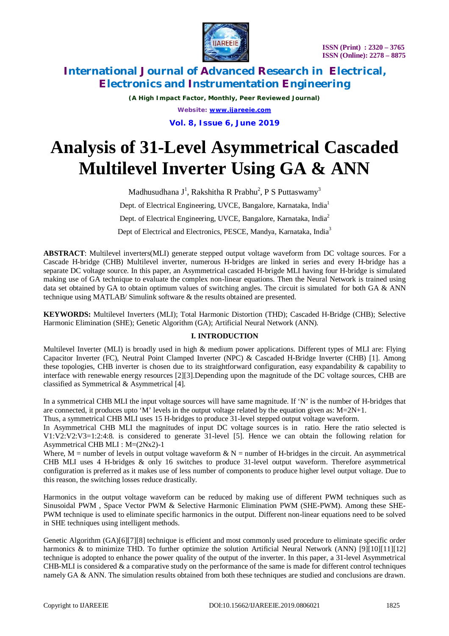

*(A High Impact Factor, Monthly, Peer Reviewed Journal) Website: [www.ijareeie.com](http://www.ijareeie.com)* **Vol. 8, Issue 6, June 2019**

# **Analysis of 31-Level Asymmetrical Cascaded Multilevel Inverter Using GA & ANN**

Madhusudhana J<sup>1</sup>, Rakshitha R Prabhu<sup>2</sup>, P S Puttaswamy<sup>3</sup> Dept. of Electrical Engineering, UVCE, Bangalore, Karnataka, India<sup>1</sup> Dept. of Electrical Engineering, UVCE, Bangalore, Karnataka, India<sup>2</sup> Dept of Electrical and Electronics, PESCE, Mandya, Karnataka, India<sup>3</sup>

**ABSTRACT**: Multilevel inverters(MLI) generate stepped output voltage waveform from DC voltage sources. For a Cascade H-bridge (CHB) Multilevel inverter, numerous H-bridges are linked in series and every H-bridge has a separate DC voltage source. In this paper, an Asymmetrical cascaded H-brigde MLI having four H-bridge is simulated making use of GA technique to evaluate the complex non-linear equations. Then the Neural Network is trained using data set obtained by GA to obtain optimum values of switching angles. The circuit is simulated for both GA & ANN technique using MATLAB/ Simulink software & the results obtained are presented.

**KEYWORDS:** Multilevel Inverters (MLI); Total Harmonic Distortion (THD); Cascaded H-Bridge (CHB); Selective Harmonic Elimination (SHE); Genetic Algorithm (GA); Artificial Neural Network (ANN).

### **I. INTRODUCTION**

Multilevel Inverter (MLI) is broadly used in high & medium power applications. Different types of MLI are: Flying Capacitor Inverter (FC), Neutral Point Clamped Inverter (NPC) & Cascaded H-Bridge Inverter (CHB) [1]. Among these topologies, CHB inverter is chosen due to its straightforward configuration, easy expandability & capability to interface with renewable energy resources [2][3].Depending upon the magnitude of the DC voltage sources, CHB are classified as Symmetrical & Asymmetrical [4].

In a symmetrical CHB MLI the input voltage sources will have same magnitude. If 'N' is the number of H-bridges that are connected, it produces upto 'M' levels in the output voltage related by the equation given as:  $M=2N+1$ .

Thus, a symmetrical CHB MLI uses 15 H-bridges to produce 31-level stepped output voltage waveform.

In Asymmetrical CHB MLI the magnitudes of input DC voltage sources is in ratio. Here the ratio selected is V1:V2:V2:V3=1:2:4:8. is considered to generate 31-level [5]. Hence we can obtain the following relation for Asymmetrical CHB MLI : M=(2Nx2)-1

Where, M = number of levels in output voltage waveform  $\& N$  = number of H-bridges in the circuit. An asymmetrical CHB MLI uses 4 H-bridges & only 16 switches to produce 31-level output waveform. Therefore asymmetrical configuration is preferred as it makes use of less number of components to produce higher level output voltage. Due to this reason, the switching losses reduce drastically.

Harmonics in the output voltage waveform can be reduced by making use of different PWM techniques such as Sinusoidal PWM , Space Vector PWM & Selective Harmonic Elimination PWM (SHE-PWM). Among these SHE-PWM technique is used to eliminate specific harmonics in the output. Different non-linear equations need to be solved in SHE techniques using intelligent methods.

Genetic Algorithm (GA)[6][7][8] technique is efficient and most commonly used procedure to eliminate specific order harmonics & to minimize THD. To further optimize the solution Artificial Neural Network (ANN) [9][10][11][12] technique is adopted to enhance the power quality of the output of the inverter. In this paper, a 31-level Asymmetrical CHB-MLI is considered  $\&$  a comparative study on the performance of the same is made for different control techniques namely GA & ANN. The simulation results obtained from both these techniques are studied and conclusions are drawn.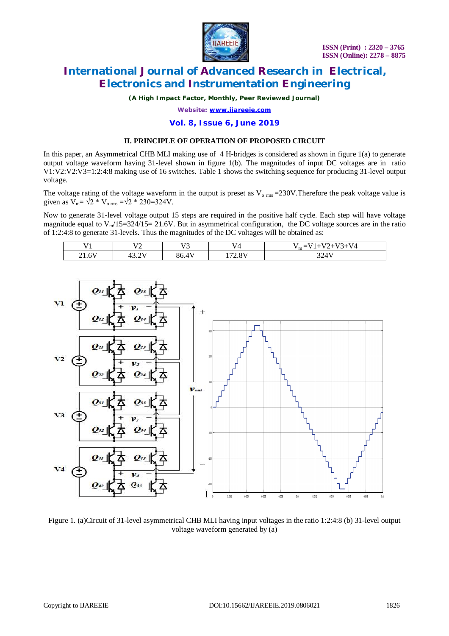

*(A High Impact Factor, Monthly, Peer Reviewed Journal)*

*Website: [www.ijareeie.com](http://www.ijareeie.com)*

#### **Vol. 8, Issue 6, June 2019**

#### **II. PRINCIPLE OF OPERATION OF PROPOSED CIRCUIT**

In this paper, an Asymmetrical CHB MLI making use of 4 H-bridges is considered as shown in figure 1(a) to generate output voltage waveform having 31-level shown in figure 1(b). The magnitudes of input DC voltages are in ratio V1:V2:V2:V3=1:2:4:8 making use of 16 switches. Table 1 shows the switching sequence for producing 31-level output voltage.

The voltage rating of the voltage waveform in the output is preset as  $V_{\text{o rms}} = 230V$ . Therefore the peak voltage value is given as  $V_m = \sqrt{2 * V_{o \, rms}} = \sqrt{2 * 230} = 324V$ .

Now to generate 31-level voltage output 15 steps are required in the positive half cycle. Each step will have voltage magnitude equal to  $V_{m}/15=324/15=21.6V$ . But in asymmetrical configuration, the DC voltage sources are in the ratio of 1:2:4:8 to generate 31-levels. Thus the magnitudes of the DC voltages will be obtained as:

| <b>TT4</b> | <b>FTA</b><br>∼ | $\sqrt{72}$<br>v<br>ີ | TT A<br>$^{\prime}$ | <b>TT</b><br>$- - -$<br>. .<br>$\overline{\phantom{a}}$<br>vд<br>∽<br>$\mathbf{m}$ – |
|------------|-----------------|-----------------------|---------------------|--------------------------------------------------------------------------------------|
| 21.6V      | $. \cap T$      | 36                    | $\Delta$ T          | ட                                                                                    |
|            | .               | 80.4                  | $\sim$              | ىدر                                                                                  |



Figure 1. (a)Circuit of 31-level asymmetrical CHB MLI having input voltages in the ratio 1:2:4:8 (b) 31-level output voltage waveform generated by (a)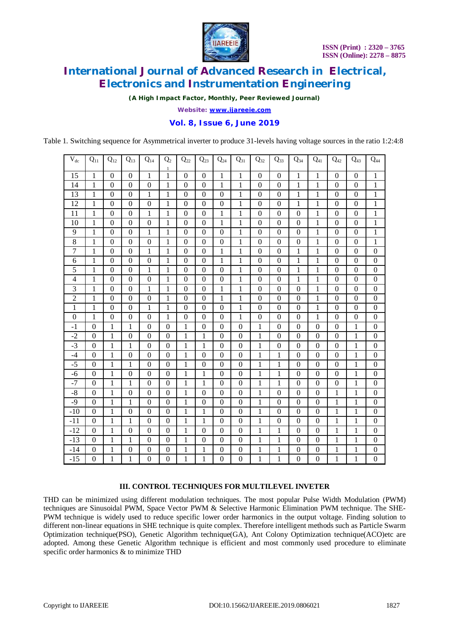

*(A High Impact Factor, Monthly, Peer Reviewed Journal)*

*Website: [www.ijareeie.com](http://www.ijareeie.com)*

### **Vol. 8, Issue 6, June 2019**

Table 1. Switching sequence for Asymmetrical inverter to produce 31-levels having voltage sources in the ratio 1:2:4:8

| $V_{dc}$         | $Q_{11}$         | $Q_{12}$         | $Q_{13}$         | $Q_{14}$         | Q <sub>2</sub><br>$\mathbf{1}$ | $Q_{22}$         | $\mathbf{Q}_{23}$ | $Q_{24}$         | $Q_{31}$         | $Q_{32}$         | $Q_{33}$         | $Q_{34}$         | $Q_{41}$         | $\mathbf{Q}_{42}$ | $Q_{43}$         | $Q_{44}$         |
|------------------|------------------|------------------|------------------|------------------|--------------------------------|------------------|-------------------|------------------|------------------|------------------|------------------|------------------|------------------|-------------------|------------------|------------------|
| 15               | $\mathbf{1}$     | $\boldsymbol{0}$ | $\boldsymbol{0}$ | $\mathbf{1}$     | $\,1$                          | $\boldsymbol{0}$ | $\boldsymbol{0}$  | $\mathbf{1}$     | $\mathbf{1}$     | $\boldsymbol{0}$ | $\boldsymbol{0}$ | $\mathbf{1}$     | $\mathbf{1}$     | $\mathbf{0}$      | $\boldsymbol{0}$ | $\mathbf{1}$     |
| 14               | $\mathbf{1}$     | $\overline{0}$   | $\overline{0}$   | $\mathbf{0}$     | $\mathbf{1}$                   | $\boldsymbol{0}$ | $\mathbf{0}$      | $\mathbf{1}$     | $\mathbf{1}$     | $\overline{0}$   | $\boldsymbol{0}$ | $\mathbf{1}$     | $\mathbf{1}$     | $\mathbf{0}$      | $\boldsymbol{0}$ | $\mathbf{1}$     |
| 13               | $\mathbf{1}$     | $\boldsymbol{0}$ | $\mathbf{0}$     | $\mathbf{1}$     | $\,1$                          | $\boldsymbol{0}$ | $\boldsymbol{0}$  | $\boldsymbol{0}$ | $\mathbf{1}$     | $\overline{0}$   | $\boldsymbol{0}$ | $\mathbf{1}$     | $\mathbf{1}$     | $\mathbf{0}$      | $\boldsymbol{0}$ | $\mathbf{1}$     |
| 12               | 1                | $\boldsymbol{0}$ | $\boldsymbol{0}$ | $\boldsymbol{0}$ | 1                              | $\boldsymbol{0}$ | $\boldsymbol{0}$  | $\boldsymbol{0}$ | $\mathbf{1}$     | $\boldsymbol{0}$ | $\boldsymbol{0}$ | $\mathbf{1}$     | $\mathbf{1}$     | $\boldsymbol{0}$  | $\boldsymbol{0}$ | $\mathbf{1}$     |
| 11               | $\mathbf{1}$     | $\boldsymbol{0}$ | $\boldsymbol{0}$ | $\mathbf{1}$     | $\mathbf{1}$                   | $\boldsymbol{0}$ | $\boldsymbol{0}$  | $\mathbf{1}$     | $\mathbf{1}$     | $\boldsymbol{0}$ | $\boldsymbol{0}$ | $\boldsymbol{0}$ | $\mathbf{1}$     | $\boldsymbol{0}$  | $\boldsymbol{0}$ | $\mathbf{1}$     |
| 10               | $\mathbf{1}$     | $\mathbf{0}$     | $\mathbf{0}$     | $\boldsymbol{0}$ | $\mathbf{1}$                   | $\boldsymbol{0}$ | $\boldsymbol{0}$  | $\mathbf{1}$     | $\mathbf{1}$     | $\mathbf{0}$     | $\boldsymbol{0}$ | $\boldsymbol{0}$ | 1                | $\mathbf{0}$      | $\boldsymbol{0}$ | $\mathbf{1}$     |
| 9                | $\mathbf{1}$     | $\mathbf{0}$     | $\mathbf{0}$     | $\mathbf{1}$     | $\mathbf{1}$                   | $\boldsymbol{0}$ | $\boldsymbol{0}$  | $\mathbf{0}$     | $\mathbf{1}$     | $\overline{0}$   | $\boldsymbol{0}$ | $\boldsymbol{0}$ | $\mathbf{1}$     | $\overline{0}$    | $\boldsymbol{0}$ | $\mathbf{1}$     |
| 8                | 1                | $\boldsymbol{0}$ | $\boldsymbol{0}$ | $\boldsymbol{0}$ | $\mathbf{1}$                   | $\boldsymbol{0}$ | $\boldsymbol{0}$  | $\boldsymbol{0}$ | $\mathbf{1}$     | $\boldsymbol{0}$ | $\boldsymbol{0}$ | $\boldsymbol{0}$ | $\mathbf{1}$     | $\boldsymbol{0}$  | $\boldsymbol{0}$ | $\mathbf{1}$     |
| 7                | 1                | $\mathbf{0}$     | $\boldsymbol{0}$ | 1                | $\mathbf{1}$                   | $\boldsymbol{0}$ | $\boldsymbol{0}$  | $\mathbf{1}$     | $\mathbf{1}$     | $\boldsymbol{0}$ | $\boldsymbol{0}$ | $\mathbf{1}$     | $\mathbf{1}$     | $\mathbf{0}$      | $\boldsymbol{0}$ | $\boldsymbol{0}$ |
| 6                | 1                | $\mathbf{0}$     | $\boldsymbol{0}$ | $\boldsymbol{0}$ | $\mathbf{1}$                   | $\boldsymbol{0}$ | $\boldsymbol{0}$  | $\mathbf{1}$     | $\mathbf{1}$     | $\overline{0}$   | $\boldsymbol{0}$ | $\mathbf{1}$     | $\mathbf{1}$     | $\mathbf{0}$      | $\boldsymbol{0}$ | $\boldsymbol{0}$ |
| 5                | 1                | $\mathbf{0}$     | $\mathbf{0}$     | $\mathbf{1}$     | $\mathbf{1}$                   | $\boldsymbol{0}$ | $\boldsymbol{0}$  | $\mathbf{0}$     | 1                | $\overline{0}$   | $\boldsymbol{0}$ | $\mathbf{1}$     | $\mathbf{1}$     | $\mathbf{0}$      | $\boldsymbol{0}$ | $\boldsymbol{0}$ |
| 4                | 1                | $\boldsymbol{0}$ | $\boldsymbol{0}$ | $\boldsymbol{0}$ | $\mathbf{1}$                   | $\boldsymbol{0}$ | $\boldsymbol{0}$  | $\boldsymbol{0}$ | $\mathbf{1}$     | $\boldsymbol{0}$ | $\boldsymbol{0}$ | $\mathbf{1}$     | $\mathbf{1}$     | $\boldsymbol{0}$  | $\boldsymbol{0}$ | $\boldsymbol{0}$ |
| 3                | $\mathbf{1}$     | $\boldsymbol{0}$ | $\boldsymbol{0}$ | $\mathbf{1}$     | $\mathbf{1}$                   | $\boldsymbol{0}$ | $\boldsymbol{0}$  | $\mathbf{1}$     | $\mathbf{1}$     | $\boldsymbol{0}$ | $\boldsymbol{0}$ | $\boldsymbol{0}$ | $\mathbf{1}$     | $\boldsymbol{0}$  | $\boldsymbol{0}$ | $\boldsymbol{0}$ |
| $\overline{2}$   | $\mathbf{1}$     | $\overline{0}$   | $\boldsymbol{0}$ | $\boldsymbol{0}$ | $\mathbf{1}$                   | $\boldsymbol{0}$ | $\overline{0}$    | $\mathbf{1}$     | $\mathbf{1}$     | $\overline{0}$   | $\boldsymbol{0}$ | $\boldsymbol{0}$ | $\mathbf{1}$     | $\overline{0}$    | $\boldsymbol{0}$ | $\boldsymbol{0}$ |
| $\mathbf{1}$     | $\mathbf{1}$     | $\mathbf{0}$     | $\mathbf{0}$     | $\mathbf{1}$     | $\mathbf{1}$                   | $\boldsymbol{0}$ | $\boldsymbol{0}$  | $\boldsymbol{0}$ | $\mathbf{1}$     | $\overline{0}$   | $\boldsymbol{0}$ | $\boldsymbol{0}$ | $\mathbf{1}$     | $\boldsymbol{0}$  | $\boldsymbol{0}$ | $\boldsymbol{0}$ |
| $\boldsymbol{0}$ | $\mathbf{1}$     | $\boldsymbol{0}$ | $\boldsymbol{0}$ | $\boldsymbol{0}$ | $\mathbf{1}$                   | $\boldsymbol{0}$ | $\boldsymbol{0}$  | $\boldsymbol{0}$ | $\mathbf{1}$     | $\boldsymbol{0}$ | $\boldsymbol{0}$ | $\boldsymbol{0}$ | $\mathbf{1}$     | $\boldsymbol{0}$  | $\boldsymbol{0}$ | $\boldsymbol{0}$ |
| $-1$             | $\boldsymbol{0}$ | $\mathbf{1}$     | $\mathbf{1}$     | $\boldsymbol{0}$ | $\boldsymbol{0}$               | $\mathbf{1}$     | $\boldsymbol{0}$  | $\boldsymbol{0}$ | $\boldsymbol{0}$ | $\mathbf{1}$     | $\boldsymbol{0}$ | $\boldsymbol{0}$ | $\boldsymbol{0}$ | $\overline{0}$    | 1                | $\boldsymbol{0}$ |
| $-2$             | $\mathbf{0}$     | 1                | $\overline{0}$   | $\boldsymbol{0}$ | $\boldsymbol{0}$               | $\mathbf{1}$     | 1                 | $\boldsymbol{0}$ | $\mathbf{0}$     | $\mathbf{1}$     | $\boldsymbol{0}$ | $\boldsymbol{0}$ | $\boldsymbol{0}$ | $\boldsymbol{0}$  | $\mathbf 1$      | $\boldsymbol{0}$ |
| $-3$             | $\boldsymbol{0}$ | $\mathbf{1}$     | $\mathbf{1}$     | $\boldsymbol{0}$ | $\boldsymbol{0}$               | $\mathbf{1}$     | $\mathbf{1}$      | $\boldsymbol{0}$ | $\boldsymbol{0}$ | $\mathbf{1}$     | $\boldsymbol{0}$ | $\boldsymbol{0}$ | $\boldsymbol{0}$ | $\boldsymbol{0}$  | 1                | $\boldsymbol{0}$ |
| $-4$             | $\boldsymbol{0}$ | $\mathbf{1}$     | $\boldsymbol{0}$ | $\boldsymbol{0}$ | $\boldsymbol{0}$               | $\mathbf{1}$     | $\boldsymbol{0}$  | $\boldsymbol{0}$ | $\boldsymbol{0}$ | $\mathbf{1}$     | $\mathbf{1}$     | $\boldsymbol{0}$ | $\boldsymbol{0}$ | $\boldsymbol{0}$  | 1                | $\boldsymbol{0}$ |
| $-5$             | $\boldsymbol{0}$ | 1                | $\mathbf{1}$     | $\boldsymbol{0}$ | $\boldsymbol{0}$               | $\mathbf{1}$     | $\boldsymbol{0}$  | $\boldsymbol{0}$ | $\boldsymbol{0}$ | $\mathbf{1}$     | $\mathbf{1}$     | $\boldsymbol{0}$ | $\boldsymbol{0}$ | $\overline{0}$    | 1                | $\boldsymbol{0}$ |
| $-6$             | $\overline{0}$   | $\mathbf{1}$     | $\boldsymbol{0}$ | $\boldsymbol{0}$ | $\boldsymbol{0}$               | $\mathbf{1}$     | $\mathbf{1}$      | $\mathbf{0}$     | $\overline{0}$   | $\mathbf{1}$     | $\mathbf{1}$     | $\mathbf{0}$     | $\boldsymbol{0}$ | $\mathbf{0}$      | $\mathbf{1}$     | $\boldsymbol{0}$ |
| $-7$             | $\boldsymbol{0}$ | $\mathbf{1}$     | $\mathbf{1}$     | $\boldsymbol{0}$ | $\boldsymbol{0}$               | $\mathbf{1}$     | $\mathbf{1}$      | $\boldsymbol{0}$ | $\boldsymbol{0}$ | $\mathbf{1}$     | $\mathbf{1}$     | $\boldsymbol{0}$ | $\boldsymbol{0}$ | $\boldsymbol{0}$  | 1                | $\boldsymbol{0}$ |
| $-8$             | $\boldsymbol{0}$ | $\mathbf{1}$     | $\boldsymbol{0}$ | $\boldsymbol{0}$ | $\boldsymbol{0}$               | $\mathbf{1}$     | $\boldsymbol{0}$  | $\boldsymbol{0}$ | $\boldsymbol{0}$ | $\mathbf{1}$     | $\boldsymbol{0}$ | $\boldsymbol{0}$ | $\boldsymbol{0}$ | $\mathbf{1}$      | $\mathbf{1}$     | $\boldsymbol{0}$ |
| $-9$             | $\boldsymbol{0}$ | 1                | $\mathbf{1}$     | $\boldsymbol{0}$ | $\boldsymbol{0}$               | $\mathbf{1}$     | $\boldsymbol{0}$  | $\boldsymbol{0}$ | $\boldsymbol{0}$ | $\mathbf{1}$     | $\boldsymbol{0}$ | $\boldsymbol{0}$ | $\boldsymbol{0}$ | $\mathbf{1}$      | 1                | $\boldsymbol{0}$ |
| $-10$            | $\mathbf{0}$     | 1                | $\boldsymbol{0}$ | $\boldsymbol{0}$ | $\boldsymbol{0}$               | $\mathbf{1}$     | $\mathbf{1}$      | $\boldsymbol{0}$ | $\boldsymbol{0}$ | $\mathbf{1}$     | $\boldsymbol{0}$ | $\boldsymbol{0}$ | $\boldsymbol{0}$ | $\mathbf{1}$      | $\mathbf{1}$     | $\boldsymbol{0}$ |
| $-11$            | $\boldsymbol{0}$ | $\mathbf{1}$     | $\mathbf{1}$     | $\boldsymbol{0}$ | $\boldsymbol{0}$               | $\mathbf{1}$     | $\mathbf{1}$      | $\boldsymbol{0}$ | $\boldsymbol{0}$ | $\mathbf{1}$     | $\boldsymbol{0}$ | $\boldsymbol{0}$ | $\boldsymbol{0}$ | $\mathbf{1}$      | 1                | $\boldsymbol{0}$ |
| $-12$            | $\boldsymbol{0}$ | $\mathbf{1}$     | $\boldsymbol{0}$ | $\boldsymbol{0}$ | $\boldsymbol{0}$               | $\mathbf{1}$     | $\boldsymbol{0}$  | $\boldsymbol{0}$ | $\boldsymbol{0}$ | $\mathbf{1}$     | $\mathbf{1}$     | $\boldsymbol{0}$ | $\boldsymbol{0}$ | $\mathbf{1}$      | $\mathbf{1}$     | $\boldsymbol{0}$ |
| $-13$            | $\boldsymbol{0}$ | $\mathbf{1}$     | $\mathbf{1}$     | $\boldsymbol{0}$ | $\boldsymbol{0}$               | $\mathbf{1}$     | $\boldsymbol{0}$  | $\boldsymbol{0}$ | $\overline{0}$   | $\mathbf{1}$     | $\mathbf{1}$     | $\boldsymbol{0}$ | $\boldsymbol{0}$ | $\mathbf 1$       | $\mathbf{1}$     | $\overline{0}$   |
| $-14$            | $\mathbf{0}$     | 1                | $\mathbf{0}$     | $\boldsymbol{0}$ | $\boldsymbol{0}$               | 1                | 1                 | $\boldsymbol{0}$ | $\boldsymbol{0}$ | $\mathbf{1}$     | $\mathbf{1}$     | $\boldsymbol{0}$ | $\boldsymbol{0}$ | 1                 | $\mathbf{1}$     | $\boldsymbol{0}$ |
| $-15$            | $\boldsymbol{0}$ | $\mathbf{1}$     | $\mathbf{1}$     | $\boldsymbol{0}$ | $\boldsymbol{0}$               | $\mathbf 1$      | $\mathbf{1}$      | $\boldsymbol{0}$ | $\boldsymbol{0}$ | $\mathbf{1}$     | $\mathbf{1}$     | $\boldsymbol{0}$ | $\boldsymbol{0}$ | $\mathbf{1}$      | $\mathbf{1}$     | $\boldsymbol{0}$ |

### **III. CONTROL TECHNIQUES FOR MULTILEVEL INVETER**

THD can be minimized using different modulation techniques. The most popular Pulse Width Modulation (PWM) techniques are Sinusoidal PWM, Space Vector PWM & Selective Harmonic Elimination PWM technique. The SHE-PWM technique is widely used to reduce specific lower order harmonics in the output voltage. Finding solution to different non-linear equations in SHE technique is quite complex. Therefore intelligent methods such as Particle Swarm Optimization technique(PSO), Genetic Algorithm technique(GA), Ant Colony Optimization technique(ACO)etc are adopted. Among these Genetic Algorithm technique is efficient and most commonly used procedure to eliminate specific order harmonics & to minimize THD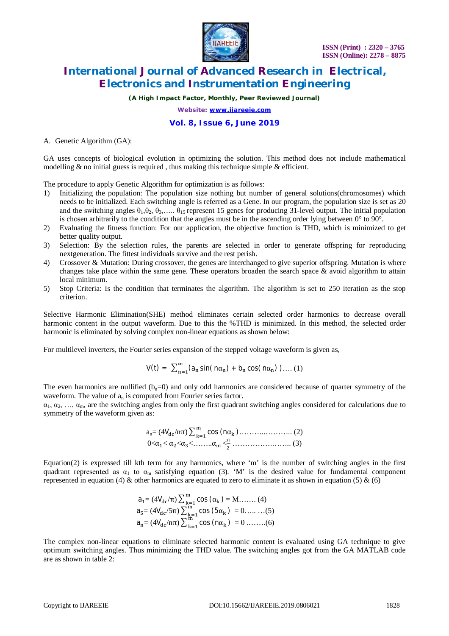

*(A High Impact Factor, Monthly, Peer Reviewed Journal)*

*Website: [www.ijareeie.com](http://www.ijareeie.com)*

#### **Vol. 8, Issue 6, June 2019**

A. Genetic Algorithm (GA):

GA uses concepts of biological evolution in optimizing the solution. This method does not include mathematical modelling  $\&$  no initial guess is required, thus making this technique simple  $\&$  efficient.

The procedure to apply Genetic Algorithm for optimization is as follows:

- 1) Initializing the population: The population size nothing but number of general solutions(chromosomes) which needs to be initialized. Each switching angle is referred as a Gene. In our program, the population size is set as 20 and the switching angles  $\theta_1, \theta_2, \theta_3, \dots, \theta_{15}$  represent 15 genes for producing 31-level output. The initial population is chosen arbitrarily to the condition that the angles must be in the ascending order lying between  $0^{\circ}$  to  $90^{\circ}$ .
- 2) Evaluating the fitness function: For our application, the objective function is THD, which is minimized to get better quality output.
- 3) Selection: By the selection rules, the parents are selected in order to generate offspring for reproducing nextgeneration. The fittest individuals survive and the rest perish.
- 4) Crossover & Mutation: During crossover, the genes are interchanged to give superior offspring. Mutation is where changes take place within the same gene. These operators broaden the search space  $\&$  avoid algorithm to attain local minimum.
- 5) Stop Criteria: Is the condition that terminates the algorithm. The algorithm is set to 250 iteration as the stop criterion.

Selective Harmonic Elimination(SHE) method eliminates certain selected order harmonics to decrease overall harmonic content in the output waveform. Due to this the %THD is minimized. In this method, the selected order harmonic is eliminated by solving complex non-linear equations as shown below:

For multilevel inverters, the Fourier series expansion of the stepped voltage waveform is given as,

$$
V(t) = \sum_{n=1}^{\infty} (a_n \sin(n\alpha_n) + b_n \cos(n\alpha_n)) \dots (1)
$$

The even harmonics are nullified  $(b<sub>n</sub>=0)$  and only odd harmonics are considered because of quarter symmetry of the waveform. The value of  $a_n$  is computed from Fourier series factor.

 $\alpha_1, \alpha_2, \ldots, \alpha_m$ , are the switching angles from only the first quadrant switching angles considered for calculations due to symmetry of the waveform given as:

an= (4Vୢୡ/nπ) cos (nα<sup>୩</sup> ୫ ୩ୀଵ )………..……….. (2) 0<αଵ< αଶ<αଷ<……..α<sup>୫</sup> < <sup>ଶ</sup> …………….…….. (3)

Equation(2) is expressed till kth term for any harmonics, where 'm' is the number of switching angles in the first quadrant represented as  $\alpha_1$  to  $\alpha_m$  satisfying equation (3). 'M' is the desired value for fundamental component represented in equation (4) & other harmonics are equated to zero to eliminate it as shown in equation (5) & (6)

$$
a_1 = (4V_{dc}/\pi) \sum_{k=1}^{m} \cos (\alpha_k) = M \dots (4)
$$
  
\n
$$
a_5 = (4V_{dc}/5\pi) \sum_{k=1}^{m} \cos (5\alpha_k) = 0 \dots (5)
$$
  
\n
$$
a_n = (4V_{dc}/n\pi) \sum_{k=1}^{m} \cos (n\alpha_k) = 0 \dots (6)
$$

The complex non-linear equations to eliminate selected harmonic content is evaluated using GA technique to give optimum switching angles. Thus minimizing the THD value. The switching angles got from the GA MATLAB code are as shown in table 2: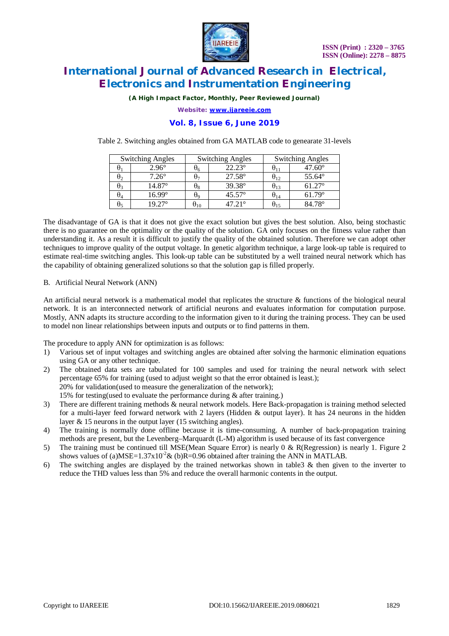

*(A High Impact Factor, Monthly, Peer Reviewed Journal)*

*Website: [www.ijareeie.com](http://www.ijareeie.com)*

### **Vol. 8, Issue 6, June 2019**

Table 2. Switching angles obtained from GA MATLAB code to genearate 31-levels

|                | <b>Switching Angles</b> |          | <b>Switching Angles</b> | <b>Switching Angles</b> |                 |  |  |
|----------------|-------------------------|----------|-------------------------|-------------------------|-----------------|--|--|
|                | $2.96^\circ$            | U6       | $22.23^{\circ}$         | U11                     | $47.60^\circ$   |  |  |
| $\theta_2$     | $7.26^\circ$            | Uπ       | $27.58^{\circ}$         | $\mathsf{u}_{12}$       | $55.64^{\circ}$ |  |  |
| $\theta_3$     | 14.87°                  | Ω8       | 39.38°                  | $\sigma_{13}$           | $61.27^{\circ}$ |  |  |
| $\mathsf{U}_4$ | 16.99°                  | U٥       | $45.57^{\circ}$         | $\mathsf{u}_{14}$       | $61.79^\circ$   |  |  |
| U٢             | 19 27°                  | $6^{10}$ | 47 21°                  | $\sigma_{15}$           | $84.78^\circ$   |  |  |

The disadvantage of GA is that it does not give the exact solution but gives the best solution. Also, being stochastic there is no guarantee on the optimality or the quality of the solution. GA only focuses on the fitness value rather than understanding it. As a result it is difficult to justify the quality of the obtained solution. Therefore we can adopt other techniques to improve quality of the output voltage. In genetic algorithm technique, a large look-up table is required to estimate real-time switching angles. This look-up table can be substituted by a well trained neural network which has the capability of obtaining generalized solutions so that the solution gap is filled properly.

B. Artificial Neural Network (ANN)

An artificial neural network is a mathematical model that replicates the structure & functions of the biological neural network. It is an interconnected network of artificial neurons and evaluates information for computation purpose. Mostly, ANN adapts its structure according to the information given to it during the training process. They can be used to model non linear relationships between inputs and outputs or to find patterns in them.

The procedure to apply ANN for optimization is as follows:

- 1) Various set of input voltages and switching angles are obtained after solving the harmonic elimination equations using GA or any other technique.
- 2) The obtained data sets are tabulated for 100 samples and used for training the neural network with select percentage 65% for training (used to adjust weight so that the error obtained is least.); 20% for validation(used to measure the generalization of the network); 15% for testing(used to evaluate the performance during & after training.)
- 3) There are different training methods & neural network models. Here Back-propagation is training method selected for a multi-layer feed forward network with 2 layers (Hidden & output layer). It has 24 neurons in the hidden layer & 15 neurons in the output layer (15 switching angles).
- 4) The training is normally done offline because it is time-consuming. A number of back-propagation training methods are present, but the Levenberg–Marquardt (L-M) algorithm is used because of its fast convergence
- 5) The training must be continued till MSE(Mean Square Error) is nearly 0 & R(Regression) is nearly 1. Figure 2 shows values of (a)MSE=1.37x10<sup>-2</sup>& (b)R=0.96 obtained after training the ANN in MATLAB.
- 6) The switching angles are displayed by the trained networkas shown in table3 & then given to the inverter to reduce the THD values less than 5% and reduce the overall harmonic contents in the output.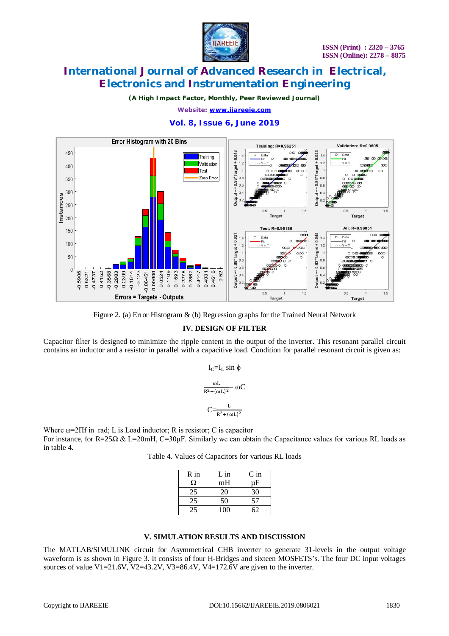

*(A High Impact Factor, Monthly, Peer Reviewed Journal)*

*Website: [www.ijareeie.com](http://www.ijareeie.com)*

### **Vol. 8, Issue 6, June 2019**



Figure 2. (a) Error Histogram & (b) Regression graphs for the Trained Neural Network

### **IV. DESIGN OF FILTER**

Capacitor filter is designed to minimize the ripple content in the output of the inverter. This resonant parallel circuit contains an inductor and a resistor in parallel with a capacitive load. Condition for parallel resonant circuit is given as:

$$
I_C = I_L \sin \phi
$$

$$
\frac{\omega L}{R^2 + (\omega L)^2} = \omega C
$$

$$
C{=}\frac{L}{R^2{+}(\omega L)^2}
$$

Where ω=2Πf in rad; L is Load inductor; R is resistor; C is capacitor For instance, for R=25Ω & L=20mH, C=30µF. Similarly we can obtain the Capacitance values for various RL loads as in table 4.

Table 4. Values of Capacitors for various RL loads

| $R$ in | $L$ in | $C$ in |
|--------|--------|--------|
| Ω      | mH     | μF     |
| 25     | 20     | 30     |
| 25     | 50     | 57     |
|        | 100    |        |

### **V. SIMULATION RESULTS AND DISCUSSION**

The MATLAB/SIMULINK circuit for Asymmetrical CHB inverter to generate 31-levels in the output voltage waveform is as shown in Figure 3. It consists of four H-Bridges and sixteen MOSFETS's. The four DC input voltages sources of value V1=21.6V, V2=43.2V, V3=86.4V, V4=172.6V are given to the inverter.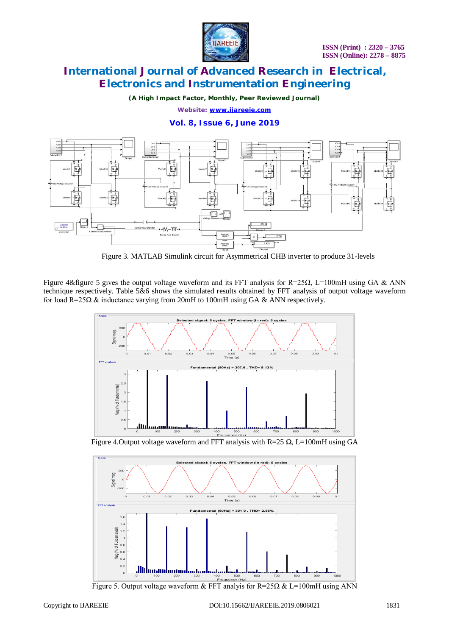

*(A High Impact Factor, Monthly, Peer Reviewed Journal)*

*Website: [www.ijareeie.com](http://www.ijareeie.com)*

### **Vol. 8, Issue 6, June 2019**



Figure 3. MATLAB Simulink circuit for Asymmetrical CHB inverter to produce 31-levels

Figure 4&figure 5 gives the output voltage waveform and its FFT analysis for R=25Ω, L=100mH using GA & ANN technique respectively. Table 5&6 shows the simulated results obtained by FFT analysis of output voltage waveform for load R=25Ω & inductance varying from 20mH to 100mH using GA & ANN respectively.



Figure 4. Output voltage waveform and FFT analysis with  $R=25 \Omega$ , L=100mH using GA



Figure 5. Output voltage waveform & FFT analyis for  $R=25\Omega \& L=100mH$  using ANN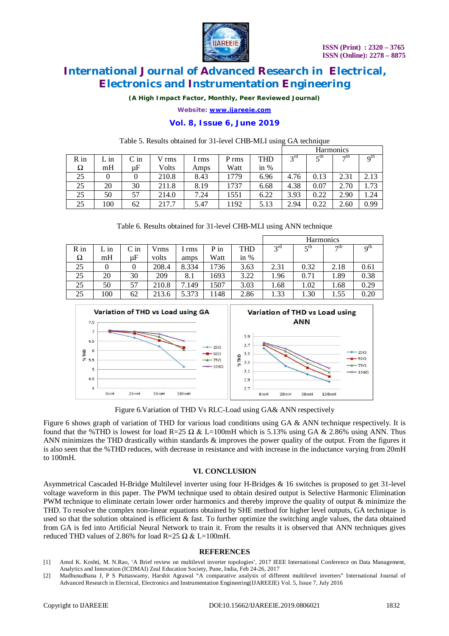

*(A High Impact Factor, Monthly, Peer Reviewed Journal)*

*Website: [www.ijareeie.com](http://www.ijareeie.com)*

### **Vol. 8, Issue 6, June 2019**

|      |      |        |       |       |                  |            | <b>Harmonics</b> |                       |           |          |  |
|------|------|--------|-------|-------|------------------|------------|------------------|-----------------------|-----------|----------|--|
| R in | L in | $C$ in | V rms | 1 rms | P <sub>rms</sub> | <b>THD</b> | $2^{\text{rd}}$  | $\zeta$ <sup>th</sup> | $\neg$ th | $Q^{th}$ |  |
| Ω    | mH   | иF     | Volts | Amps  | Watt             | in $%$     |                  |                       |           |          |  |
| 25   |      |        | 210.8 | 8.43  | 1779             | 6.96       | 4.76             | 0.13                  | 2.31      | 2.13     |  |
| 25   | 20   | 30     | 211.8 | 8.19  | 1737             | 6.68       | 4.38             | 0.07                  | 2.70      | 1.73     |  |
| 25   | 50   | 57     | 214.0 | 7.24  | 1551             | 6.22       | 3.93             | 0.22                  | 2.90      | .24      |  |
| 25   | 100  | 62     | 217.7 | 5.47  | 1192             | 5.13       | 2.94             | 0.22                  | 2.60      | 0.99     |  |

#### Table 5. Results obtained for 31-level CHB-MLI using GA technique

|  |  | Table 6. Results obtained for 31-level CHB-MLI using ANN technique |  |  |
|--|--|--------------------------------------------------------------------|--|--|
|  |  |                                                                    |  |  |

|      |      |        |       |       |      |            | <b>Harmonics</b> |                       |           |                          |  |  |
|------|------|--------|-------|-------|------|------------|------------------|-----------------------|-----------|--------------------------|--|--|
| R in | L in | $C$ in | Vrms  | l rms | P in | <b>THD</b> | $3^{rd}$         | $\zeta$ <sup>th</sup> | $\neg$ th | $\mathbf{Q}^{\text{th}}$ |  |  |
| Ω    | mH   | иF     | volts | amps  | Watt | in $%$     |                  |                       |           |                          |  |  |
| 25   |      | 0      | 208.4 | 8.334 | 1736 | 3.63       | 2.31             | 0.32                  | 2.18      | 0.61                     |  |  |
| 25   | 20   | 30     | 209   | 8.1   | 1693 | 3.22       | 1.96             | 0.71                  | 1.89      | 0.38                     |  |  |
| 25   | 50   | 57     | 210.8 | 7.149 | .507 | 3.03       | 1.68             | 1.02                  | 1.68      | 0.29                     |  |  |
| 25   | 100  | 62     | 213.6 | 5.373 | 148  | 2.86       | 1.33             | 1.30                  | 1.55      | 0.20                     |  |  |



Figure 6.Variation of THD Vs RLC-Load using GA& ANN respectively

Figure 6 shows graph of variation of THD for various load conditions using GA & ANN technique respectively. It is found that the %THD is lowest for load R=25  $\Omega$  & L=100mH which is 5.13% using GA & 2.86% using ANN. Thus ANN minimizes the THD drastically within standards & improves the power quality of the output. From the figures it is also seen that the %THD reduces, with decrease in resistance and with increase in the inductance varying from 20mH to 100mH.

#### **VI. CONCLUSION**

Asymmetrical Cascaded H-Bridge Multilevel inverter using four H-Bridges & 16 switches is proposed to get 31-level voltage waveform in this paper. The PWM technique used to obtain desired output is Selective Harmonic Elimination PWM technique to eliminate certain lower order harmonics and thereby improve the quality of output & minimize the THD. To resolve the complex non-linear equations obtained by SHE method for higher level outputs, GA technique is used so that the solution obtained is efficient & fast. To further optimize the switching angle values, the data obtained from GA is fed into Artificial Neural Network to train it. From the results it is observed that ANN techniques gives reduced THD values of 2.86% for load R=25  $\Omega \& L=100$ mH.

#### **REFERENCES**

- [1] Amol K. Koshti, M. N.Rao, 'A Brief review on multilevel inverter topologies', 2017 IEEE International Conference on Data Management, Analytics and Innovation (ICDMAI) Zeal Education Society, Pune, India, Feb 24-26, 2017
- [2] Madhusudhana J, P S Puttaswamy, Harshit Agrawal "A comparative analysis of different multilevel inverters" International Journal of Advanced Research in Electrical, Electronics and Instrumentation Engineering(IJAREEIE) Vol. 5, Issue 7, July 2016